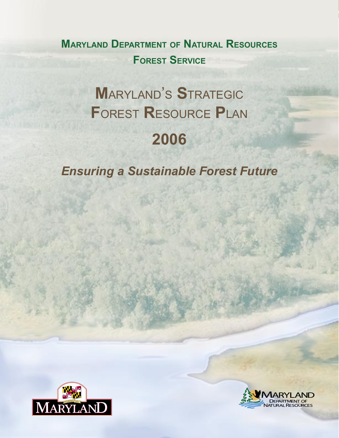**MARYLAND DEPARTMENT OF NATURAL RESOURCES FOREST SERVICE**

# **M**ARYLAND'S **S**TRATEGIC **F**OREST **R**ESOURCE **P**LAN **2006**

*Ensuring a Sustainable Forest Future*



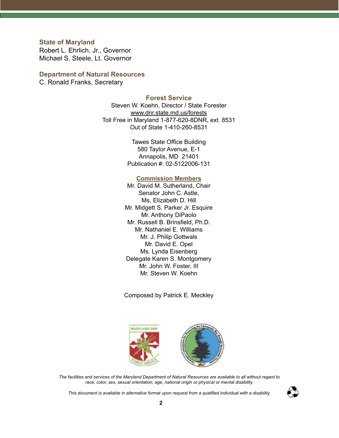**State of Maryland** Robert L. Ehrlich, Jr., Governor Michael S. Steele, Lt. Governor

# **Department of Natural Resources**

C. Ronald Franks, Secretary

# **Forest Service**

Steven W. Koehn, Director / State Forester www.dnr.state.md.us/forests Toll Free in Maryland 1-877-620-8DNR, ext. 8531 Out of State 1-410-260-8531

> Tawes State Office Building 580 Taylor Avenue, E-1 Annapolis, MD 21401 Publication #: 02-5122006-131

### **Commission Members**

Mr. David M. Sutherland, Chair Senator John C. Astle, Ms. Elizabeth D. Hill Mr. Midgett S. Parker Jr. Esquire Mr. Anthony DiPaolo Mr. Russell B. Brinsfield, Ph.D. Mr. Nathaniel E. Williams Mr. J. Philip Gottwals Mr. David E. Opel Ms. Lynda Eisenberg Delegate Karen S. Montgomery Mr. John W. Foster, III Mr. Steven W. Koehn

Composed by Patrick E. Meckley



*The facilities and services of the Maryland Department of Natural Resources are available to all without regard to race, color, sex, sexual orientation, age, national origin or physical or mental disability.*

*This document is available in alternative format upon request from a qualified individual with a disability.*

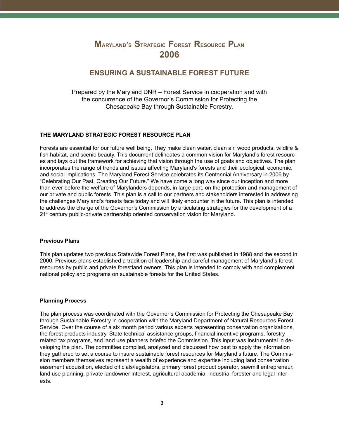# **MARYLAND'S STRATEGIC FOREST RESOURCE PLAN 2006**

# **ENSURING A SUSTAINABLE FOREST FUTURE**

Prepared by the Maryland DNR – Forest Service in cooperation and with the concurrence of the Governor's Commission for Protecting the Chesapeake Bay through Sustainable Forestry.

#### **THE MARYLAND STRATEGIC FOREST RESOURCE PLAN**

Forests are essential for our future well being. They make clean water, clean air, wood products, wildlife & fish habitat, and scenic beauty. This document delineates a common vision for Maryland's forest resources and lays out the framework for achieving that vision through the use of goals and objectives. The plan incorporates the range of trends and issues affecting Maryland's forests and their ecological, economic, and social implications. The Maryland Forest Service celebrates its Centennial Anniversary in 2006 by "Celebrating Our Past, Creating Our Future." We have come a long way since our inception and more than ever before the welfare of Marylanders depends, in large part, on the protection and management of our private and public forests. This plan is a call to our partners and stakeholders interested in addressing the challenges Maryland's forests face today and will likely encounter in the future. This plan is intended to address the charge of the Governor's Commission by articulating strategies for the development of a 21st century public-private partnership oriented conservation vision for Maryland.

#### **Previous Plans**

This plan updates two previous Statewide Forest Plans, the first was published in 1988 and the second in 2000. Previous plans established a tradition of leadership and careful management of Maryland's forest resources by public and private forestland owners. This plan is intended to comply with and complement national policy and programs on sustainable forests for the United States.

#### **Planning Process**

The plan process was coordinated with the Governor's Commission for Protecting the Chesapeake Bay through Sustainable Forestry in cooperation with the Maryland Department of Natural Resources Forest Service. Over the course of a six month period various experts representing conservation organizations, the forest products industry, State technical assistance groups, financial incentive programs, forestry related tax programs, and land use planners briefed the Commission. This input was instrumental in developing the plan. The committee compiled, analyzed and discussed how best to apply the information they gathered to set a course to insure sustainable forest resources for Maryland's future. The Commission members themselves represent a wealth of experience and expertise including land conservation easement acquisition, elected officials/legislators, primary forest product operator, sawmill entrepreneur, land use planning, private landowner interest, agricultural academia, industrial forester and legal interests.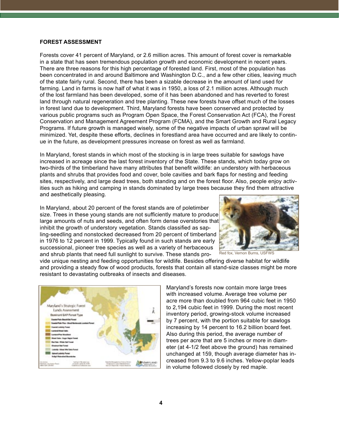#### **FOREST ASSESSMENT**

Forests cover 41 percent of Maryland, or 2.6 million acres. This amount of forest cover is remarkable in a state that has seen tremendous population growth and economic development in recent years. There are three reasons for this high percentage of forested land. First, most of the population has been concentrated in and around Baltimore and Washington D.C., and a few other cities, leaving much of the state fairly rural. Second, there has been a sizable decrease in the amount of land used for farming. Land in farms is now half of what it was in 1950, a loss of 2.1 million acres. Although much of the lost farmland has been developed, some of it has been abandoned and has reverted to forest land through natural regeneration and tree planting. These new forests have offset much of the losses in forest land due to development. Third, Maryland forests have been conserved and protected by various public programs such as Program Open Space, the Forest Conservation Act (FCA), the Forest Conservation and Management Agreement Program (FCMA), and the Smart Growth and Rural Legacy Programs. If future growth is managed wisely, some of the negative impacts of urban sprawl will be minimized. Yet, despite these efforts, declines in forestland area have occurred and are likely to continue in the future, as development pressures increase on forest as well as farmland.

In Maryland, forest stands in which most of the stocking is in large trees suitable for sawlogs have increased in acreage since the last forest inventory of the State. These stands, which today grow on two-thirds of the timberland have many attributes that benefit wildlife: an understory with herbaceous plants and shrubs that provides food and cover, bole cavities and bark flaps for nesting and feeding sites, respectively, and large dead trees, both standing and on the forest floor. Also, people enjoy activities such as hiking and camping in stands dominated by large trees because they find them attractive and aesthetically pleasing.

In Maryland, about 20 percent of the forest stands are of poletimber size. Trees in these young stands are not sufficiently mature to produce large amounts of nuts and seeds, and often form dense overstories that inhibit the growth of understory vegetation. Stands classified as sapling-seedling and nonstocked decreased from 20 percent of timberland in 1976 to 12 percent in 1999. Typically found in such stands are early successional, pioneer tree species as well as a variety of herbaceous and shrub plants that need full sunlight to survive. These stands pro-



Red fox, Vernon Burns, USFWS

vide unique nesting and feeding opportunities for wildlife. Besides offering diverse habitat for wildlife and providing a steady flow of wood products, forests that contain all stand-size classes might be more resistant to devastating outbreaks of insects and diseases.



Maryland's forests now contain more large trees with increased volume. Average tree volume per acre more than doubled from 964 cubic feet in 1950 to 2,194 cubic feet in 1999. During the most recent inventory period, growing-stock volume increased by 7 percent, with the portion suitable for sawlogs increasing by 14 percent to 16.2 billion board feet. Also during this period, the average number of trees per acre that are 5 inches or more in diameter (at 4-1/2 feet above the ground) has remained unchanged at 159, though average diameter has increased from 9.3 to 9.6 inches. Yellow-poplar leads in volume followed closely by red maple.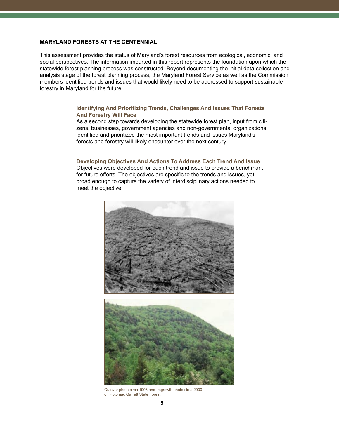#### **MARYLAND FORESTS AT THE CENTENNIAL**

This assessment provides the status of Maryland's forest resources from ecological, economic, and social perspectives. The information imparted in this report represents the foundation upon which the statewide forest planning process was constructed. Beyond documenting the initial data collection and analysis stage of the forest planning process, the Maryland Forest Service as well as the Commission members identified trends and issues that would likely need to be addressed to support sustainable forestry in Maryland for the future.

#### **Identifying And Prioritizing Trends, Challenges And Issues That Forests And Forestry Will Face**

As a second step towards developing the statewide forest plan, input from citizens, businesses, government agencies and non-governmental organizations identified and prioritized the most important trends and issues Maryland's forests and forestry will likely encounter over the next century.

#### **Developing Objectives And Actions To Address Each Trend And Issue**

Objectives were developed for each trend and issue to provide a benchmark for future efforts. The objectives are specific to the trends and issues, yet broad enough to capture the variety of interdisciplinary actions needed to meet the objective.





Cutover photo circa 1906 and regrowth photo circa 2000 on Potomac Garrett State Forest..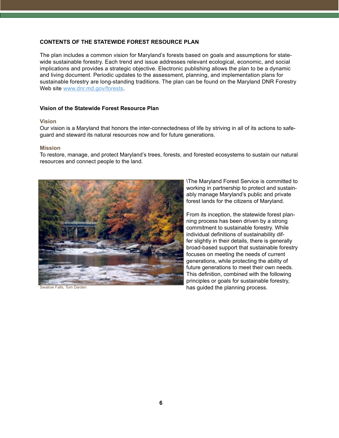#### **CONTENTS OF THE STATEWIDE FOREST RESOURCE PLAN**

The plan includes a common vision for Maryland's forests based on goals and assumptions for statewide sustainable forestry. Each trend and issue addresses relevant ecological, economic, and social implications and provides a strategic objective. Electronic publishing allows the plan to be a dynamic and living document. Periodic updates to the assessment, planning, and implementation plans for sustainable forestry are long-standing traditions. The plan can be found on the Maryland DNR Forestry Web site www.dnr.md.gov/forests.

#### **Vision of the Statewide Forest Resource Plan**

#### **Vision**

Our vision is a Maryland that honors the inter-connectedness of life by striving in all of its actions to safeguard and steward its natural resources now and for future generations.

#### **Mission**

To restore, manage, and protect Maryland's trees, forests, and forested ecosystems to sustain our natural resources and connect people to the land.



\The Maryland Forest Service is committed to working in partnership to protect and sustainably manage Maryland's public and private forest lands for the citizens of Maryland.

From its inception, the statewide forest planning process has been driven by a strong commitment to sustainable forestry. While individual definitions of sustainability differ slightly in their details, there is generally broad-based support that sustainable forestry focuses on meeting the needs of current generations, while protecting the ability of future generations to meet their own needs. This definition, combined with the following principles or goals for sustainable forestry, Falls, Tom Darden **Falls, Tom Darden has guided the planning process.**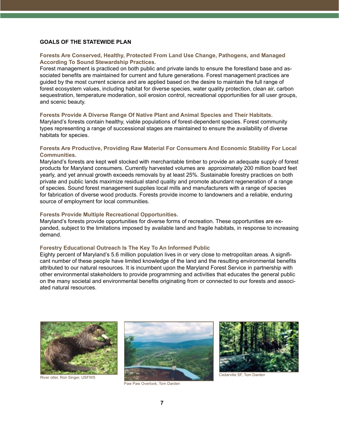#### **GOALS OF THE STATEWIDE PLAN**

#### **Forests Are Conserved, Healthy, Protected From Land Use Change, Pathogens, and Managed According To Sound Stewardship Practices.**

Forest management is practiced on both public and private lands to ensure the forestland base and associated benefits are maintained for current and future generations. Forest management practices are guided by the most current science and are applied based on the desire to maintain the full range of forest ecosystem values, including habitat for diverse species, water quality protection, clean air, carbon sequestration, temperature moderation, soil erosion control, recreational opportunities for all user groups, and scenic beauty.

#### **Forests Provide A Diverse Range Of Native Plant and Animal Species and Their Habitats.**

Maryland's forests contain healthy, viable populations of forest-dependent species. Forest community types representing a range of successional stages are maintained to ensure the availability of diverse habitats for species.

#### **Forests Are Productive, Providing Raw Material For Consumers And Economic Stability For Local Communities.**

Maryland's forests are kept well stocked with merchantable timber to provide an adequate supply of forest products for Maryland consumers. Currently harvested volumes are approximately 200 million board feet yearly, and yet annual growth exceeds removals by at least 25%. Sustainable forestry practices on both private and public lands maximize residual stand quality and promote abundant regeneration of a range of species. Sound forest management supplies local mills and manufacturers with a range of species for fabrication of diverse wood products. Forests provide income to landowners and a reliable, enduring source of employment for local communities.

#### **Forests Provide Multiple Recreational Opportunities.**

Maryland's forests provide opportunities for diverse forms of recreation. These opportunities are expanded, subject to the limitations imposed by available land and fragile habitats, in response to increasing demand.

#### **Forestry Educational Outreach Is The Key To An Informed Public**

Eighty percent of Maryland's 5.6 million population lives in or very close to metropolitan areas. A significant number of these people have limited knowledge of the land and the resulting environmental benefits attributed to our natural resources. It is incumbent upon the Maryland Forest Service in partnership with other environmental stakeholders to provide programming and activities that educates the general public on the many societal and environmental benefits originating from or connected to our forests and associated natural resources.



River otter, Ron Singer, USFWS



Paw Paw Overlook, Tom Darden



Cedarville SF, Tom Darden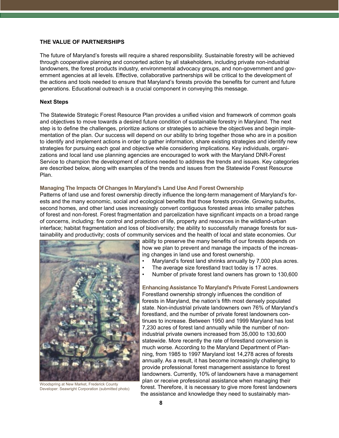#### **THE VALUE OF PARTNERSHIPS**

The future of Maryland's forests will require a shared responsibility. Sustainable forestry will be achieved through cooperative planning and concerted action by all stakeholders, including private non-industrial landowners, the forest products industry, environmental advocacy groups, and non-government and government agencies at all levels. Effective, collaborative partnerships will be critical to the development of the actions and tools needed to ensure that Maryland's forests provide the benefits for current and future generations. Educational outreach is a crucial component in conveying this message.

#### **Next Steps**

The Statewide Strategic Forest Resource Plan provides a unified vision and framework of common goals and objectives to move towards a desired future condition of sustainable forestry in Maryland. The next step is to define the challenges, prioritize actions or strategies to achieve the objectives and begin implementation of the plan. Our success will depend on our ability to bring together those who are in a position to identify and implement actions in order to gather information, share existing strategies and identify new strategies for pursuing each goal and objective while considering implications. Key individuals, organizations and local land use planning agencies are encouraged to work with the Maryland DNR-Forest Service to champion the development of actions needed to address the trends and issues. Key categories are described below, along with examples of the trends and issues from the Statewide Forest Resource Plan.

#### **Managing The Impacts Of Changes In Maryland's Land Use And Forest Ownership**

Patterns of land use and forest ownership directly influence the long-term management of Maryland's forests and the many economic, social and ecological benefits that those forests provide. Growing suburbs, second homes, and other land uses increasingly convert contiguous forested areas into smaller patches of forest and non-forest. Forest fragmentation and parcelization have significant impacts on a broad range of concerns, including: fire control and protection of life, property and resources in the wildland-urban interface; habitat fragmentation and loss of biodiversity; the ability to successfully manage forests for sustainability and productivity; costs of community services and the health of local and state economies. Our



Woodspring at New Market, Frederick County Developer: Seawright Corporation (submitted photo)

ability to preserve the many benefits of our forests depends on how we plan to prevent and manage the impacts of the increasing changes in land use and forest ownership.

- Maryland's forest land shrinks annually by 7,000 plus acres.
- The average size forestland tract today is 17 acres.
- Number of private forest land owners has grown to 130,600

**Enhancing Assistance To Maryland's Private Forest Landowners** Forestland ownership strongly influences the condition of forests in Maryland, the nation's fifth most densely populated state. Non-industrial private landowners own 76% of Maryland's forestland, and the number of private forest landowners continues to increase. Between 1950 and 1999 Maryland has lost 7,230 acres of forest land annually while the number of nonindustrial private owners increased from 35,000 to 130,600 statewide. More recently the rate of forestland conversion is much worse. According to the Maryland Department of Planning, from 1985 to 1997 Maryland lost 14,278 acres of forests annually. As a result, it has become increasingly challenging to provide professional forest management assistance to forest landowners. Currently, 10% of landowners have a management plan or receive professional assistance when managing their forest. Therefore, it is necessary to give more forest landowners the assistance and knowledge they need to sustainably man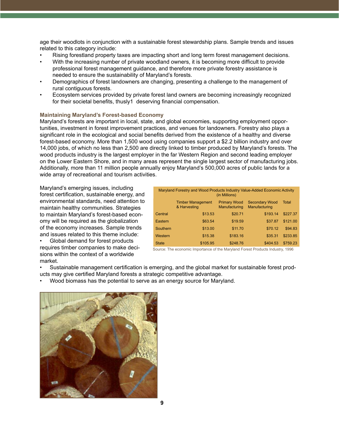age their woodlots in conjunction with a sustainable forest stewardship plans. Sample trends and issues related to this category include:

- Rising forestland property taxes are impacting short and long term forest management decisions.
- With the increasing number of private woodland owners, it is becoming more difficult to provide professional forest management guidance, and therefore more private forestry assistance is needed to ensure the sustainability of Maryland's forests.
- Demographics of forest landowners are changing, presenting a challenge to the management of rural contiguous forests.
- Ecosystem services provided by private forest land owners are becoming increasingly recognized for their societal benefits, thusly1 deserving financial compensation.

#### **Maintaining Maryland's Forest-based Economy**

Maryland's forests are important in local, state, and global economies, supporting employment opportunities, investment in forest improvement practices, and venues for landowners. Forestry also plays a significant role in the ecological and social benefits derived from the existence of a healthy and diverse forest-based economy. More than 1,500 wood using companies support a \$2.2 billion industry and over 14,000 jobs, of which no less than 2,500 are directly linked to timber produced by Maryland's forests. The wood products industry is the largest employer in the far Western Region and second leading employer on the Lower Eastern Shore, and in many areas represent the single largest sector of manufacturing jobs. Additionally, more than 11 million people annually enjoy Maryland's 500,000 acres of public lands for a wide array of recreational and tourism activities.

Maryland's emerging issues, including forest certification, sustainable energy, and environmental standards, need attention to maintain healthy communities. Strategies to maintain Maryland's forest-based economy will be required as the globalization of the economy increases. Sample trends and issues related to this theme include:

• Global demand for forest products requires timber companies to make decisions within the context of a worldwide market.

| Maryland Forestry and Wood Products Industry Value-Added Economic Activity<br>(in Millions) |                                          |                                      |                                        |          |
|---------------------------------------------------------------------------------------------|------------------------------------------|--------------------------------------|----------------------------------------|----------|
|                                                                                             | <b>Timber Management</b><br>& Harvesting | <b>Primary Wood</b><br>Manufacturing | <b>Secondary Wood</b><br>Manufacturing | Total    |
| Central                                                                                     | \$13.53                                  | \$20.71                              | \$193.14                               | \$227.37 |
| Eastern                                                                                     | \$63.54                                  | \$19.59                              | \$37.87                                | \$121.00 |
| Southern                                                                                    | \$13.00                                  | \$11.70                              | \$70.12                                | \$94.83  |
| Western                                                                                     | \$15.38                                  | \$183.16                             | \$35.31                                | \$233.85 |
| <b>State</b>                                                                                | \$105.95                                 | \$248.76                             | \$404.53                               | \$759.23 |

Source: The economic Importance of the Maryland Forest Products Industry, 1996

- Sustainable management certification is emerging, and the global market for sustainable forest prod-
- ucts may give certified Maryland forests a strategic competitive advantage.
- Wood biomass has the potential to serve as an energy source for Maryland.

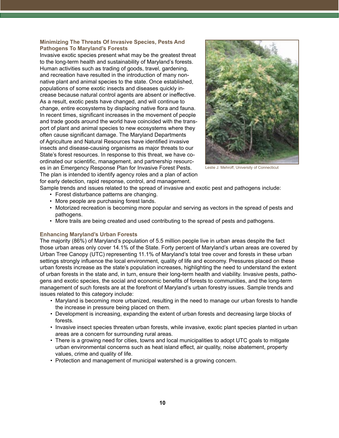#### **Minimizing The Threats Of Invasive Species, Pests And Pathogens To Maryland's Forests**

Invasive exotic species present what may be the greatest threat to the long-term health and sustainability of Maryland's forests. Human activities such as trading of goods, travel, gardening, and recreation have resulted in the introduction of many nonnative plant and animal species to the state. Once established, populations of some exotic insects and diseases quickly increase because natural control agents are absent or ineffective. As a result, exotic pests have changed, and will continue to change, entire ecosystems by displacing native flora and fauna. In recent times, significant increases in the movement of people and trade goods around the world have coincided with the transport of plant and animal species to new ecosystems where they often cause significant damage. The Maryland Departments of Agriculture and Natural Resources have identified invasive insects and disease-causing organisms as major threats to our State's forest resources. In response to this threat, we have coordinated our scientific, management, and partnership resources in an Emergency Response Plan for Invasive Forest Pests. The plan is intended to identify agency roles and a plan of action for early detection, rapid response, control, and management.



Leslie J. Mehroff, University of Connecticut

Sample trends and issues related to the spread of invasive and exotic pest and pathogens include:

- Forest disturbance patterns are changing.
- More people are purchasing forest lands.
- Motorized recreation is becoming more popular and serving as vectors in the spread of pests and pathogens.
- More trails are being created and used contributing to the spread of pests and pathogens.

#### **Enhancing Maryland's Urban Forests**

The majority (86%) of Maryland's population of 5.5 million people live in urban areas despite the fact those urban areas only cover 14.1% of the State. Forty percent of Maryland's urban areas are covered by Urban Tree Canopy (UTC) representing 11.1% of Maryland's total tree cover and forests in these urban settings strongly influence the local environment, quality of life and economy. Pressures placed on these urban forests increase as the state's population increases, highlighting the need to understand the extent of urban forests in the state and, in turn, ensure their long-term health and viability. Invasive pests, pathogens and exotic species, the social and economic benefits of forests to communities, and the long-term management of such forests are at the forefront of Maryland's urban forestry issues. Sample trends and issues related to this category include:

- Maryland is becoming more urbanized, resulting in the need to manage our urban forests to handle the increase in pressure being placed on them.
- Development is increasing, expanding the extent of urban forests and decreasing large blocks of forests.
- Invasive insect species threaten urban forests, while invasive, exotic plant species planted in urban areas are a concern for surrounding rural areas.
- There is a growing need for cities, towns and local municipalities to adopt UTC goals to mitigate urban environmental concerns such as heat island effect, air quality, noise abatement, property values, crime and quality of life.
- Protection and management of municipal watershed is a growing concern.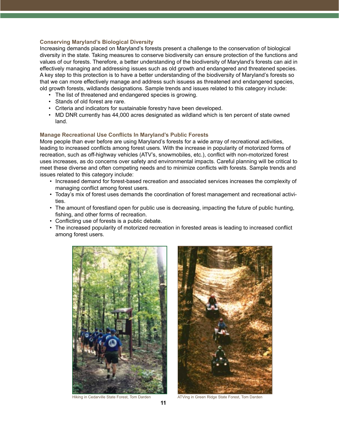#### **Conserving Maryland's Biological Diversity**

Increasing demands placed on Maryland's forests present a challenge to the conservation of biological diversity in the state. Taking measures to conserve biodiversity can ensure protection of the functions and values of our forests. Therefore, a better understanding of the biodiversity of Maryland's forests can aid in effectively managing and addressing issues such as old growth and endangered and threatened species. A key step to this protection is to have a better understanding of the biodiversity of Maryland's forests so that we can more effectively manage and address such issuess as threatened and endangered species, old growth forests, wildlands designations. Sample trends and issues related to this category include:

- The list of threatened and endangered species is growing.
- Stands of old forest are rare.
- Criteria and indicators for sustainable forestry have been developed.
- MD DNR currently has 44,000 acres designated as wildland which is ten percent of state owned land.

#### **Manage Recreational Use Conflicts In Maryland's Public Forests**

More people than ever before are using Maryland's forests for a wide array of recreational activities, leading to increased conflicts among forest users. With the increase in popularity of motorized forms of recreation, such as off-highway vehicles (ATV's, snowmobiles, etc.), conflict with non-motorized forest uses increases, as do concerns over safety and environmental impacts. Careful planning will be critical to meet these diverse and often competing needs and to minimize conflicts with forests. Sample trends and issues related to this category include:

- Increased demand for forest-based recreation and associated services increases the complexity of managing conflict among forest users.
- Today's mix of forest uses demands the coordination of forest management and recreational activities.
- The amount of forestland open for public use is decreasing, impacting the future of public hunting, fishing, and other forms of recreation.
- Conflicting use of forests is a public debate.
- The increased popularity of motorized recreation in forested areas is leading to increased conflict among forest users.





Hiking in Cedarville State Forest, Tom Darden ATVing in Green Ridge State Forest, Tom Darden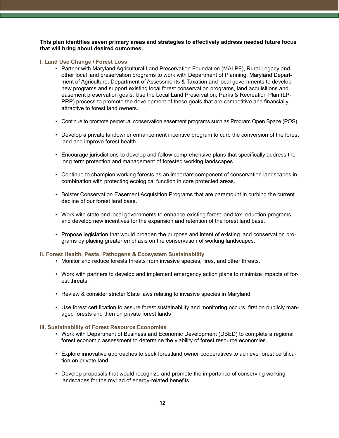**This plan identifies seven primary areas and strategies to effectively address needed future focus that will bring about desired outcomes.**

#### **I. Land Use Change / Forest Loss**

- Partner with Maryland Agricultural Land Preservation Foundation (MALPF), Rural Legacy and other local land preservation programs to work with Department of Planning, Maryland Department of Agriculture, Department of Assessments & Taxation and local governments to develop new programs and support existing local forest conservation programs, land acquisitions and easement preservation goals. Use the Local Land Preservation, Parks & Recreation Plan (LP-PRP) process to promote the development of these goals that are competitive and financially attractive to forest land owners.
- Continue to promote perpetual conservation easement programs such as Program Open Space (POS).
- Develop a private landowner enhancement incentive program to curb the conversion of the forest land and improve forest health.
- Encourage jurisdictions to develop and follow comprehensive plans that specifically address the long term protection and management of forested working landscapes.
- Continue to champion working forests as an important component of conservation landscapes in combination with protecting ecological function in core protected areas.
- Bolster Conservation Easement Acquisition Programs that are paramount in curbing the current decline of our forest land base.
- Work with state and local governments to enhance existing forest land tax reduction programs and develop new incentives for the expansion and retention of the forest land base.
- Propose legislation that would broaden the purpose and intent of existing land conservation programs by placing greater emphasis on the conservation of working landscapes.

#### **II. Forest Health, Pests, Pathogens & Ecosystem Sustainability**

- Monitor and reduce forests threats from invasive species, fires, and other threats.
- Work with partners to develop and implement emergency action plans to minimize impacts of forest threats.
- Review & consider stricter State laws relating to invasive species in Maryland.
- Use forest certification to assure forest sustainability and monitoring occurs, first on publicly managed forests and then on private forest lands

#### **III. Sustainability of Forest Resource Economies**

- Work with Department of Business and Economic Development (DBED) to complete a regional forest economic assessment to determine the viability of forest resource economies.
- Explore innovative approaches to seek forestland owner cooperatives to achieve forest certification on private land.
- Develop proposals that would recognize and promote the importance of conserving working landscapes for the myriad of energy-related benefits.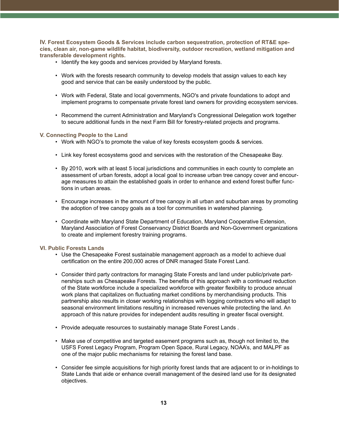**IV. Forest Ecosystem Goods & Services include carbon sequestration, protection of RT&E species, clean air, non-game wildlife habitat, biodiversity, outdoor recreation, wetland mitigation and transferable development rights.**

- Identify the key goods and services provided by Maryland forests.
- Work with the forests research community to develop models that assign values to each key good and service that can be easily understood by the public.
- Work with Federal, State and local governments, NGO's and private foundations to adopt and implement programs to compensate private forest land owners for providing ecosystem services.
- Recommend the current Administration and Maryland's Congressional Delegation work together to secure additional funds in the next Farm Bill for forestry-related projects and programs.

#### **V. Connecting People to the Land**

- Work with NGO's to promote the value of key forests ecosystem goods & services.
- Link key forest ecosystems good and services with the restoration of the Chesapeake Bay.
- By 2010, work with at least 5 local jurisdictions and communities in each county to complete an assessment of urban forests, adopt a local goal to increase urban tree canopy cover and encourage measures to attain the established goals in order to enhance and extend forest buffer functions in urban areas.
- Encourage increases in the amount of tree canopy in all urban and suburban areas by promoting the adoption of tree canopy goals as a tool for communities in watershed planning.
- Coordinate with Maryland State Department of Education, Maryland Cooperative Extension, Maryland Association of Forest Conservancy District Boards and Non-Government organizations to create and implement forestry training programs.

#### **VI. Public Forests Lands**

- Use the Chesapeake Forest sustainable management approach as a model to achieve dual certification on the entire 200,000 acres of DNR managed State Forest Land.
- Consider third party contractors for managing State Forests and land under public/private partnerships such as Chesapeake Forests. The benefits of this approach with a continued reduction of the State workforce include a specialized workforce with greater flexibility to produce annual work plans that capitalizes on fluctuating market conditions by merchandising products. This partnership also results in closer working relationships with logging contractors who will adapt to seasonal environment limitations resulting in increased revenues while protecting the land. An approach of this nature provides for independent audits resulting in greater fiscal oversight.
- Provide adequate resources to sustainably manage State Forest Lands .
- Make use of competitive and targeted easement programs such as, though not limited to, the USFS Forest Legacy Program, Program Open Space, Rural Legacy, NOAA's, and MALPF as one of the major public mechanisms for retaining the forest land base.
- Consider fee simple acquisitions for high priority forest lands that are adjacent to or in-holdings to State Lands that aide or enhance overall management of the desired land use for its designated objectives.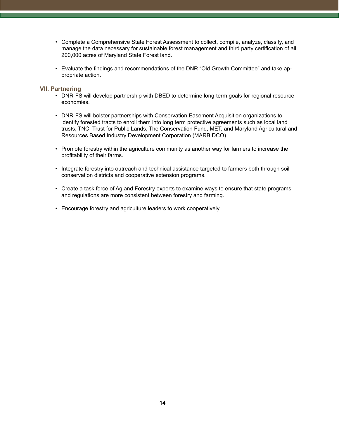- Complete a Comprehensive State Forest Assessment to collect, compile, analyze, classify, and manage the data necessary for sustainable forest management and third party certification of all 200,000 acres of Maryland State Forest land.
- Evaluate the findings and recommendations of the DNR "Old Growth Committee" and take appropriate action.

#### **VII. Partnering**

- DNR-FS will develop partnership with DBED to determine long-term goals for regional resource economies.
- DNR-FS will bolster partnerships with Conservation Easement Acquisition organizations to identify forested tracts to enroll them into long term protective agreements such as local land trusts, TNC, Trust for Public Lands, The Conservation Fund, MET, and Maryland Agricultural and Resources Based Industry Development Corporation (MARBIDCO).
- Promote forestry within the agriculture community as another way for farmers to increase the profitability of their farms.
- Integrate forestry into outreach and technical assistance targeted to farmers both through soil conservation districts and cooperative extension programs.
- Create a task force of Ag and Forestry experts to examine ways to ensure that state programs and regulations are more consistent between forestry and farming.
- Encourage forestry and agriculture leaders to work cooperatively.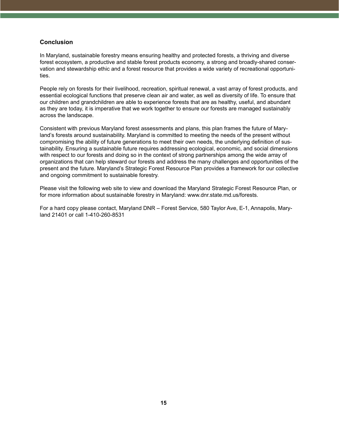# **Conclusion**

In Maryland, sustainable forestry means ensuring healthy and protected forests, a thriving and diverse forest ecosystem, a productive and stable forest products economy, a strong and broadly-shared conservation and stewardship ethic and a forest resource that provides a wide variety of recreational opportunities.

People rely on forests for their livelihood, recreation, spiritual renewal, a vast array of forest products, and essential ecological functions that preserve clean air and water, as well as diversity of life. To ensure that our children and grandchildren are able to experience forests that are as healthy, useful, and abundant as they are today, it is imperative that we work together to ensure our forests are managed sustainably across the landscape.

Consistent with previous Maryland forest assessments and plans, this plan frames the future of Maryland's forests around sustainability. Maryland is committed to meeting the needs of the present without compromising the ability of future generations to meet their own needs, the underlying definition of sustainability. Ensuring a sustainable future requires addressing ecological, economic, and social dimensions with respect to our forests and doing so in the context of strong partnerships among the wide array of organizations that can help steward our forests and address the many challenges and opportunities of the present and the future. Maryland's Strategic Forest Resource Plan provides a framework for our collective and ongoing commitment to sustainable forestry.

Please visit the following web site to view and download the Maryland Strategic Forest Resource Plan, or for more information about sustainable forestry in Maryland: www.dnr.state.md.us/forests.

For a hard copy please contact, Maryland DNR – Forest Service, 580 Taylor Ave, E-1, Annapolis, Maryland 21401 or call 1-410-260-8531